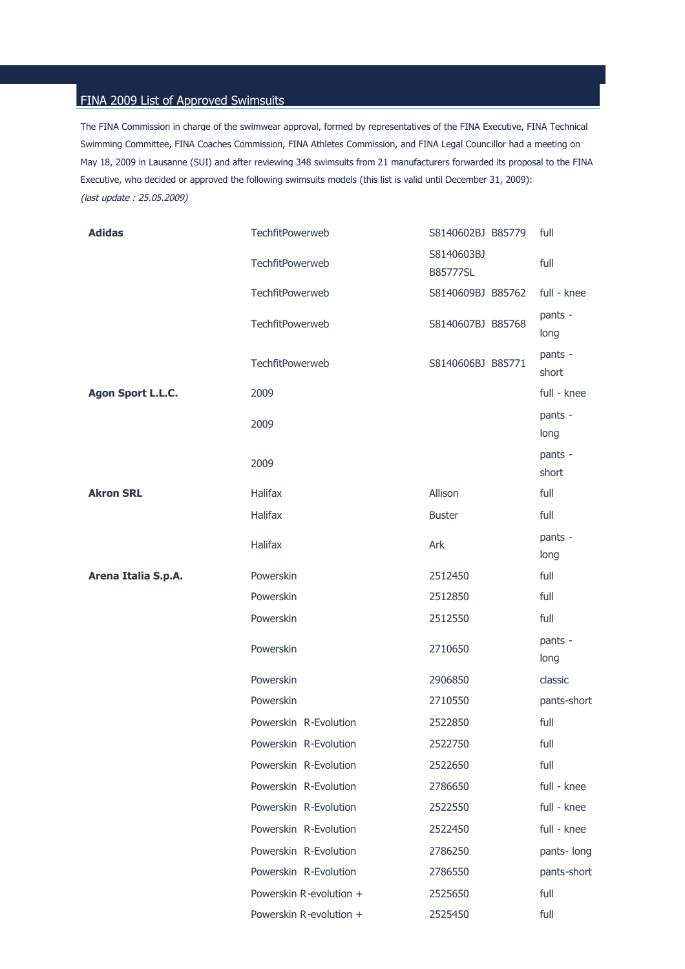## FINA 2009 List of Approved Swimsuits

The FINA Commission in charge of the swimwear approval, formed by representatives of the FINA Executive, FINA Technical Swimming Committee, FINA Coaches Commission, FINA Athletes Commission, and FINA Legal Councillor had a meeting on May 18, 2009 in Lausanne (SUI) and after reviewing 348 swimsuits from 21 manufacturers forwarded its proposal to the FINA Executive, who decided or approved the following swimsuits models (this list is valid until December 31, 2009): (last update : 25.05.2009)

| <b>Adidas</b>       | TechfitPowerweb         | S8140602BJ B85779      | full             |
|---------------------|-------------------------|------------------------|------------------|
|                     | TechfitPowerweb         | S8140603BJ<br>B85777SL | full             |
|                     | TechfitPowerweb         | S8140609BJ B85762      | full - knee      |
|                     | TechfitPowerweb         | S8140607BJ B85768      | pants -<br>long  |
|                     | <b>TechfitPowerweb</b>  | S8140606BJ B85771      | pants -<br>short |
| Agon Sport L.L.C.   | 2009                    |                        | full - knee      |
|                     | 2009                    |                        | pants -<br>long  |
|                     | 2009                    |                        | pants -<br>short |
| <b>Akron SRL</b>    | <b>Halifax</b>          | Allison                | full             |
|                     | <b>Halifax</b>          | <b>Buster</b>          | full             |
|                     | <b>Halifax</b>          | Ark                    | pants -<br>long  |
| Arena Italia S.p.A. | Powerskin               | 2512450                | full             |
|                     | Powerskin               | 2512850                | full             |
|                     | Powerskin               | 2512550                | full             |
|                     | Powerskin               | 2710650                | pants -<br>long  |
|                     | Powerskin               | 2906850                | classic          |
|                     | Powerskin               | 2710550                | pants-short      |
|                     | Powerskin R-Evolution   | 2522850                | full             |
|                     | Powerskin R-Evolution   | 2522750                | full             |
|                     | Powerskin R-Evolution   | 2522650                | full             |
|                     | Powerskin R-Evolution   | 2786650                | full - knee      |
|                     | Powerskin R-Evolution   | 2522550                | full - knee      |
|                     | Powerskin R-Evolution   | 2522450                | full - knee      |
|                     | Powerskin R-Evolution   | 2786250                | pants-long       |
|                     | Powerskin R-Evolution   | 2786550                | pants-short      |
|                     | Powerskin R-evolution + | 2525650                | full             |
|                     | Powerskin R-evolution + | 2525450                | full             |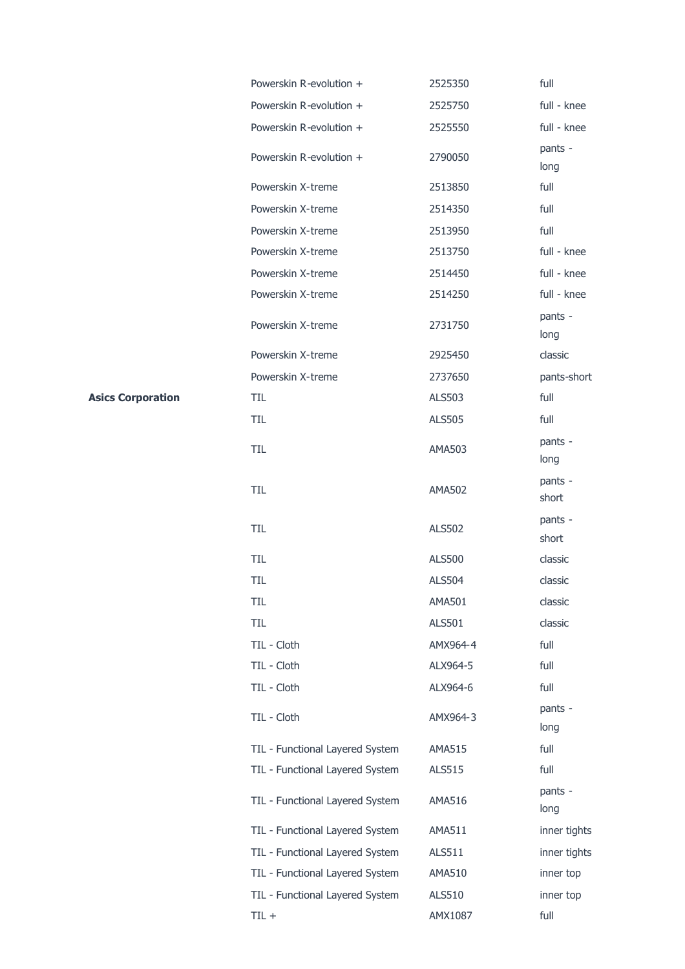| Powerskin R-evolution +         | 2525350       | full             |
|---------------------------------|---------------|------------------|
| Powerskin R-evolution +         | 2525750       | full - knee      |
| Powerskin R-evolution +         | 2525550       | full - knee      |
| Powerskin R-evolution +         | 2790050       | pants -<br>long  |
| Powerskin X-treme               | 2513850       | full             |
| Powerskin X-treme               | 2514350       | full             |
| Powerskin X-treme               | 2513950       | full             |
| Powerskin X-treme               | 2513750       | full - knee      |
| Powerskin X-treme               | 2514450       | full - knee      |
| Powerskin X-treme               | 2514250       | full - knee      |
| Powerskin X-treme               | 2731750       | pants -<br>long  |
| Powerskin X-treme               | 2925450       | classic          |
| Powerskin X-treme               | 2737650       | pants-short      |
| TIL                             | ALS503        | full             |
| <b>TIL</b>                      | <b>ALS505</b> | full             |
| TIL                             | AMA503        | pants -<br>long  |
| TIL                             | <b>AMA502</b> | pants -<br>short |
| TIL                             | <b>ALS502</b> | pants -<br>short |
| TIL                             | <b>ALS500</b> | classic          |
| TIL                             | <b>ALS504</b> | classic          |
| TIL                             | <b>AMA501</b> | classic          |
| TIL                             | <b>ALS501</b> | classic          |
| TIL - Cloth                     | AMX964-4      | full             |
| TIL - Cloth                     | ALX964-5      | full             |
| TIL - Cloth                     | ALX964-6      | full             |
| TIL - Cloth                     | AMX964-3      | pants -<br>long  |
| TIL - Functional Layered System | <b>AMA515</b> | full             |
| TIL - Functional Layered System | ALS515        | full             |
| TIL - Functional Layered System | <b>AMA516</b> | pants -<br>long  |
| TIL - Functional Layered System | <b>AMA511</b> | inner tights     |
| TIL - Functional Layered System | ALS511        | inner tights     |
| TIL - Functional Layered System | AMA510        | inner top        |
| TIL - Functional Layered System | ALS510        | inner top        |
| $TIL +$                         | AMX1087       | full             |

**Asics Corporation**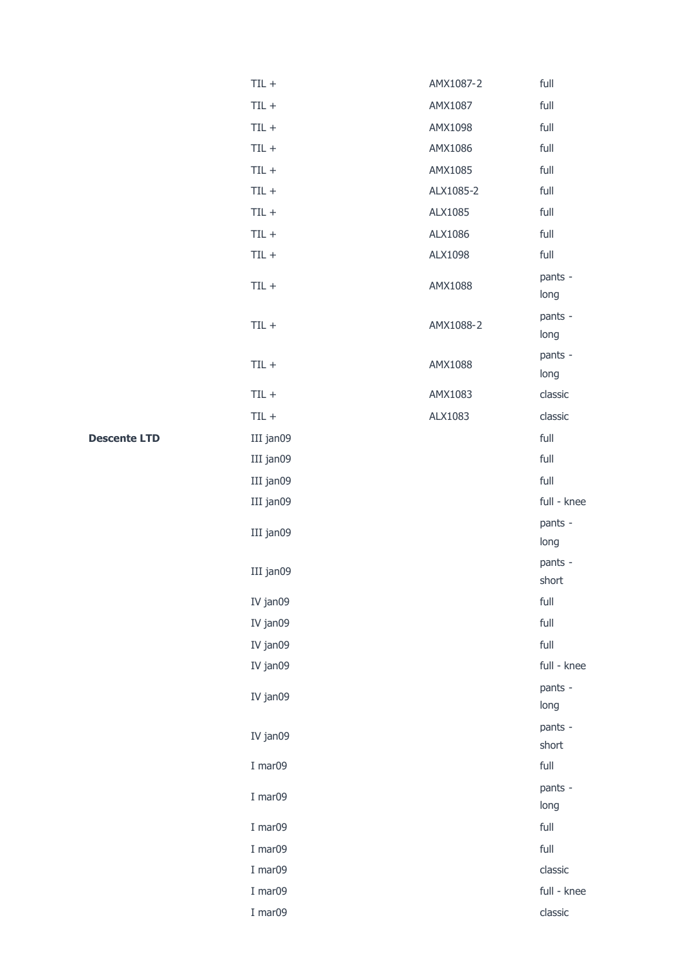| $TL +$    | AMX1087-2 | full             |
|-----------|-----------|------------------|
| $TIL +$   | AMX1087   | full             |
| $TIL +$   | AMX1098   | full             |
| $TIL +$   | AMX1086   | full             |
| $TIL +$   | AMX1085   | full             |
| $TIL +$   | ALX1085-2 | full             |
| $TIL +$   | ALX1085   | full             |
| $TL +$    | ALX1086   | full             |
| $TIL +$   | ALX1098   | full             |
| $TIL +$   | AMX1088   | pants -<br>long  |
| $TIL +$   | AMX1088-2 | pants -<br>long  |
| $TL +$    | AMX1088   | pants -<br>long  |
| $TIL +$   | AMX1083   | classic          |
| $TIL +$   | ALX1083   | classic          |
| III jan09 |           | full             |
| III jan09 |           | full             |
| III jan09 |           | full             |
| III jan09 |           | full - knee      |
| III jan09 |           | pants -<br>long  |
| III jan09 |           | pants -<br>short |
| IV jan09  |           | full             |
| IV jan09  |           | full             |
| IV jan09  |           | full             |
| IV jan09  |           | full - knee      |
| IV jan09  |           | pants -<br>long  |
| IV jan09  |           | pants -<br>short |
| I mar09   |           | full             |
| I mar09   |           | pants -<br>long  |
| I mar09   |           | full             |
| I mar09   |           | full             |
| I mar09   |           | classic          |
| I mar09   |           | full - knee      |
| I mar09   |           | classic          |

**Descente LTD**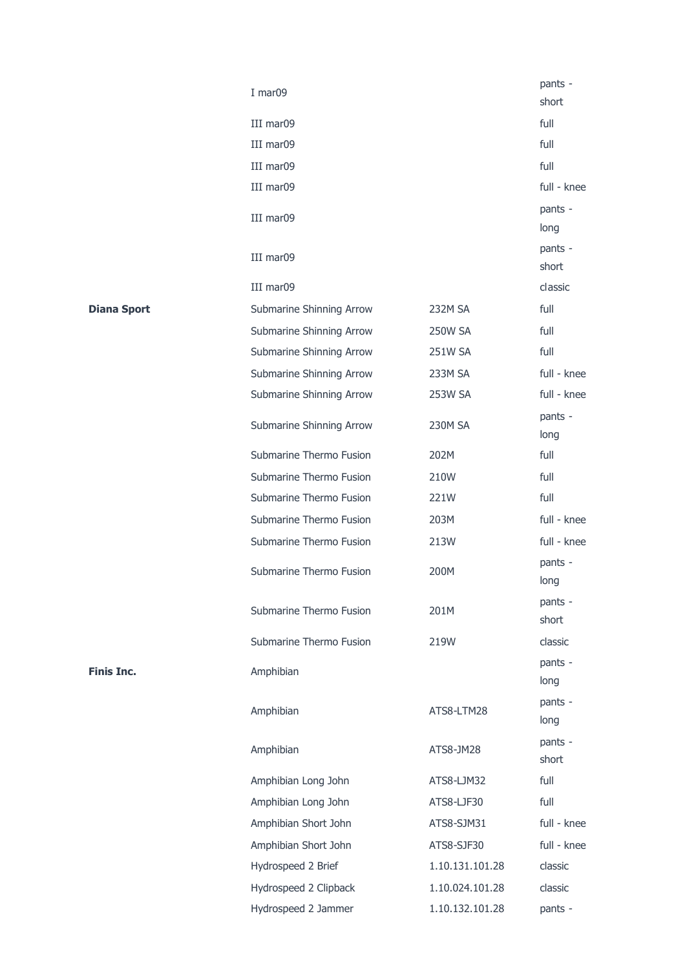|                    | I mar09                  |                 | pants -<br>short |
|--------------------|--------------------------|-----------------|------------------|
|                    | III mar09                |                 | full             |
|                    | III mar09                |                 | full             |
|                    | III mar09                |                 | full             |
|                    | III mar09                |                 | full - knee      |
|                    | III mar09                |                 | pants -<br>long  |
|                    | III mar09                |                 | pants -<br>short |
|                    | III mar09                |                 | classic          |
| <b>Diana Sport</b> | Submarine Shinning Arrow | 232M SA         | full             |
|                    | Submarine Shinning Arrow | <b>250W SA</b>  | full             |
|                    | Submarine Shinning Arrow | 251W SA         | full             |
|                    | Submarine Shinning Arrow | 233M SA         | full - knee      |
|                    | Submarine Shinning Arrow | 253W SA         | full - knee      |
|                    | Submarine Shinning Arrow | <b>230M SA</b>  | pants -<br>long  |
|                    | Submarine Thermo Fusion  | 202M            | full             |
|                    | Submarine Thermo Fusion  | 210W            | full             |
|                    | Submarine Thermo Fusion  | 221W            | full             |
|                    | Submarine Thermo Fusion  | 203M            | full - knee      |
|                    | Submarine Thermo Fusion  | 213W            | full - knee      |
|                    | Submarine Thermo Fusion  | 200M            | pants -<br>long  |
|                    | Submarine Thermo Fusion  | 201M            | pants -<br>short |
|                    | Submarine Thermo Fusion  | 219W            | classic          |
| <b>Finis Inc.</b>  | Amphibian                |                 | pants -<br>long  |
|                    | Amphibian                | ATS8-LTM28      | pants -<br>long  |
|                    | Amphibian                | ATS8-JM28       | pants -<br>short |
|                    | Amphibian Long John      | ATS8-LJM32      | full             |
|                    | Amphibian Long John      | ATS8-LJF30      | full             |
|                    | Amphibian Short John     | ATS8-SJM31      | full - knee      |
|                    | Amphibian Short John     | ATS8-SJF30      | full - knee      |
|                    | Hydrospeed 2 Brief       | 1.10.131.101.28 | classic          |
|                    | Hydrospeed 2 Clipback    | 1.10.024.101.28 | classic          |
|                    | Hydrospeed 2 Jammer      | 1.10.132.101.28 | pants -          |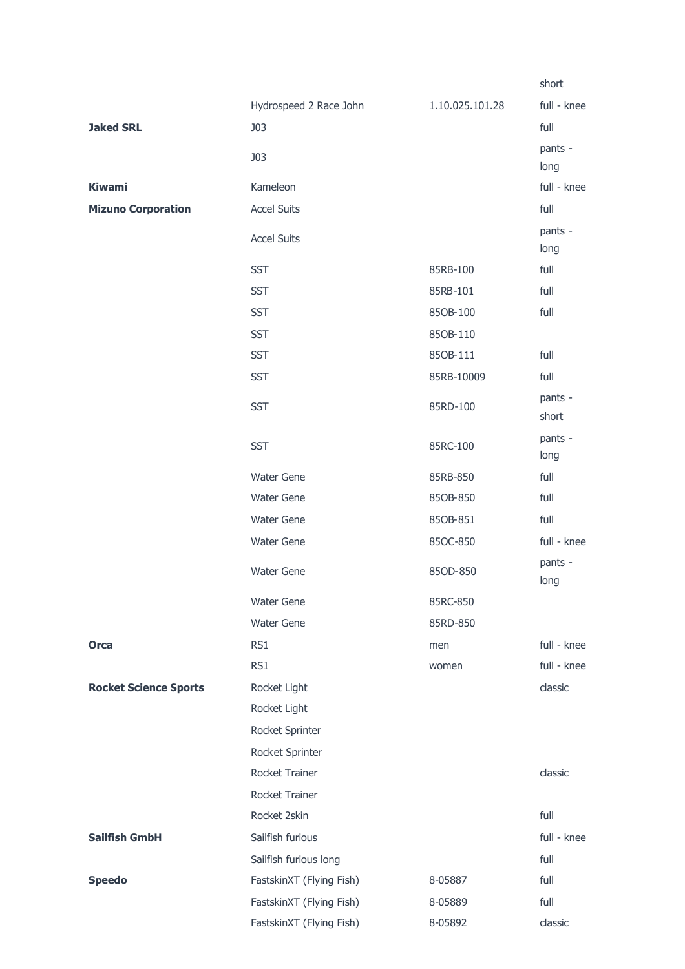|                              |                          |                 | short            |
|------------------------------|--------------------------|-----------------|------------------|
|                              | Hydrospeed 2 Race John   | 1.10.025.101.28 | full - knee      |
| <b>Jaked SRL</b>             | <b>J03</b>               |                 | full             |
|                              | <b>J03</b>               |                 | pants -<br>long  |
| <b>Kiwami</b>                | Kameleon                 |                 | full - knee      |
| <b>Mizuno Corporation</b>    | <b>Accel Suits</b>       |                 | full             |
|                              | <b>Accel Suits</b>       |                 | pants -<br>long  |
|                              | <b>SST</b>               | 85RB-100        | full             |
|                              | <b>SST</b>               | 85RB-101        | full             |
|                              | <b>SST</b>               | 850B-100        | full             |
|                              | <b>SST</b>               | 850B-110        |                  |
|                              | <b>SST</b>               | 85OB-111        | full             |
|                              | <b>SST</b>               | 85RB-10009      | full             |
|                              | <b>SST</b>               | 85RD-100        | pants -<br>short |
|                              | <b>SST</b>               | 85RC-100        | pants -<br>long  |
|                              | <b>Water Gene</b>        | 85RB-850        | full             |
|                              | <b>Water Gene</b>        | 85OB-850        | full             |
|                              | <b>Water Gene</b>        | 850B-851        | full             |
|                              | <b>Water Gene</b>        | 85OC-850        | full - knee      |
|                              | <b>Water Gene</b>        | 85OD-850        | pants -<br>long  |
|                              | <b>Water Gene</b>        | 85RC-850        |                  |
|                              | <b>Water Gene</b>        | 85RD-850        |                  |
| <b>Orca</b>                  | RS1                      | men             | full - knee      |
|                              | RS1                      | women           | full - knee      |
| <b>Rocket Science Sports</b> | Rocket Light             |                 | classic          |
|                              | Rocket Light             |                 |                  |
|                              | Rocket Sprinter          |                 |                  |
|                              | Rocket Sprinter          |                 |                  |
|                              | Rocket Trainer           |                 | classic          |
|                              | Rocket Trainer           |                 |                  |
|                              | Rocket 2skin             |                 | full             |
| <b>Sailfish GmbH</b>         | Sailfish furious         |                 | full - knee      |
|                              | Sailfish furious long    |                 | full             |
| <b>Speedo</b>                | FastskinXT (Flying Fish) | 8-05887         | full             |
|                              | FastskinXT (Flying Fish) | 8-05889         | full             |
|                              | FastskinXT (Flying Fish) | 8-05892         | classic          |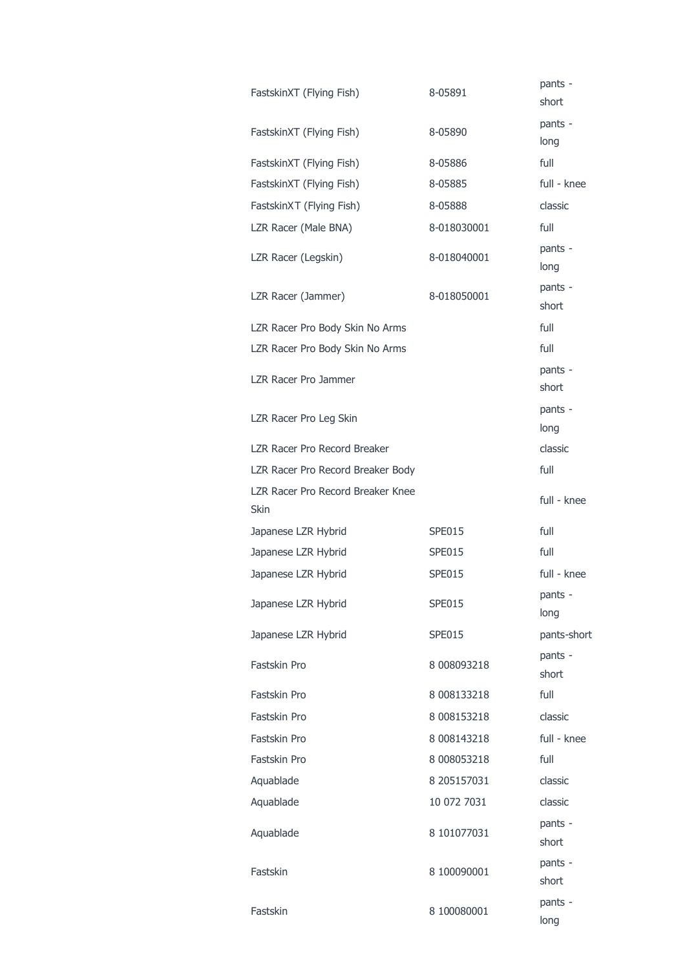| FastskinXT (Flying Fish)                         | 8-05891       | pants -<br>short |
|--------------------------------------------------|---------------|------------------|
| FastskinXT (Flying Fish)                         | 8-05890       | pants -<br>long  |
| FastskinXT (Flying Fish)                         | 8-05886       | full             |
| FastskinXT (Flying Fish)                         | 8-05885       | full - knee      |
| FastskinXT (Flying Fish)                         | 8-05888       | classic          |
| LZR Racer (Male BNA)                             | 8-018030001   | full             |
| LZR Racer (Legskin)                              | 8-018040001   | pants -<br>long  |
| LZR Racer (Jammer)                               | 8-018050001   | pants -<br>short |
| LZR Racer Pro Body Skin No Arms                  |               | full             |
| LZR Racer Pro Body Skin No Arms                  |               | full             |
| LZR Racer Pro Jammer                             |               | pants -<br>short |
| LZR Racer Pro Leg Skin                           |               | pants -<br>long  |
| LZR Racer Pro Record Breaker                     |               | classic          |
| LZR Racer Pro Record Breaker Body                |               | full             |
| LZR Racer Pro Record Breaker Knee<br><b>Skin</b> |               | full - knee      |
| Japanese LZR Hybrid                              | SPE015        | full             |
| Japanese LZR Hybrid                              | SPE015        | full             |
| Japanese LZR Hybrid                              | <b>SPE015</b> | full - knee      |
| Japanese LZR Hybrid                              | SPE015        | pants -<br>long  |
| Japanese LZR Hybrid                              | SPE015        | pants-short      |
| Fastskin Pro                                     | 8 008093218   | pants -<br>short |
| Fastskin Pro                                     | 8 008133218   | full             |
| Fastskin Pro                                     | 8 008153218   | classic          |
| Fastskin Pro                                     | 8 008143218   | full - knee      |
| Fastskin Pro                                     | 8 008053218   | full             |
| Aquablade                                        | 8 205157031   | classic          |
| Aquablade                                        | 10 072 7031   | classic          |
| Aquablade                                        | 8 101077031   | pants -<br>short |
| Fastskin                                         | 8 100090001   | pants -<br>short |
| Fastskin                                         | 8 100080001   | pants -<br>long  |